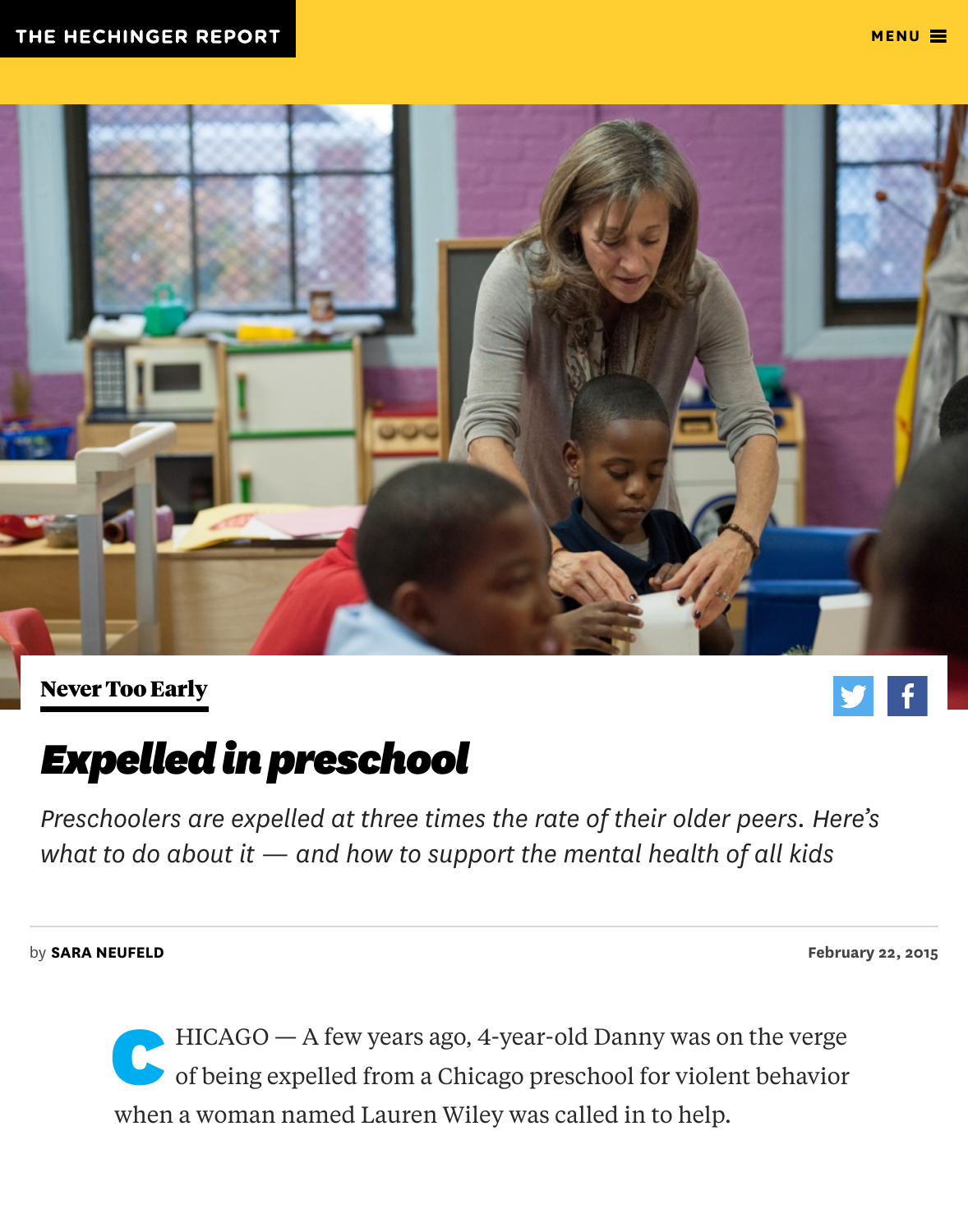

Never Too Early

# Expelled in preschool

Preschoolers are expelled at three times the rate of their older peers. H [what to do abo](http://hechingerreport.org/special-reports/never_too_early/)ut it  $-$  and how to [s](https://twitter.com/intent/tweet?url=http%3A//hechingerreport.org/expelled-preschool/&text=Expelled%20In%20Preschool)upport the mental health of all kid

by SARA NEUFELD February 22, 2015 and 22, 2015 and 22, 2015 and 22, 2015 and 22, 2015 and 22, 2015 and 22, 2015  $\epsilon$ 

 $HICAGO - A few years ago, 4-year-old Danny was on the ver$ of being expelled from a Chicago preschool for violent behavior [when](http://hechingerreport.org/author/sara-neufeld/) a woman named Lauren Wiley was called in to help.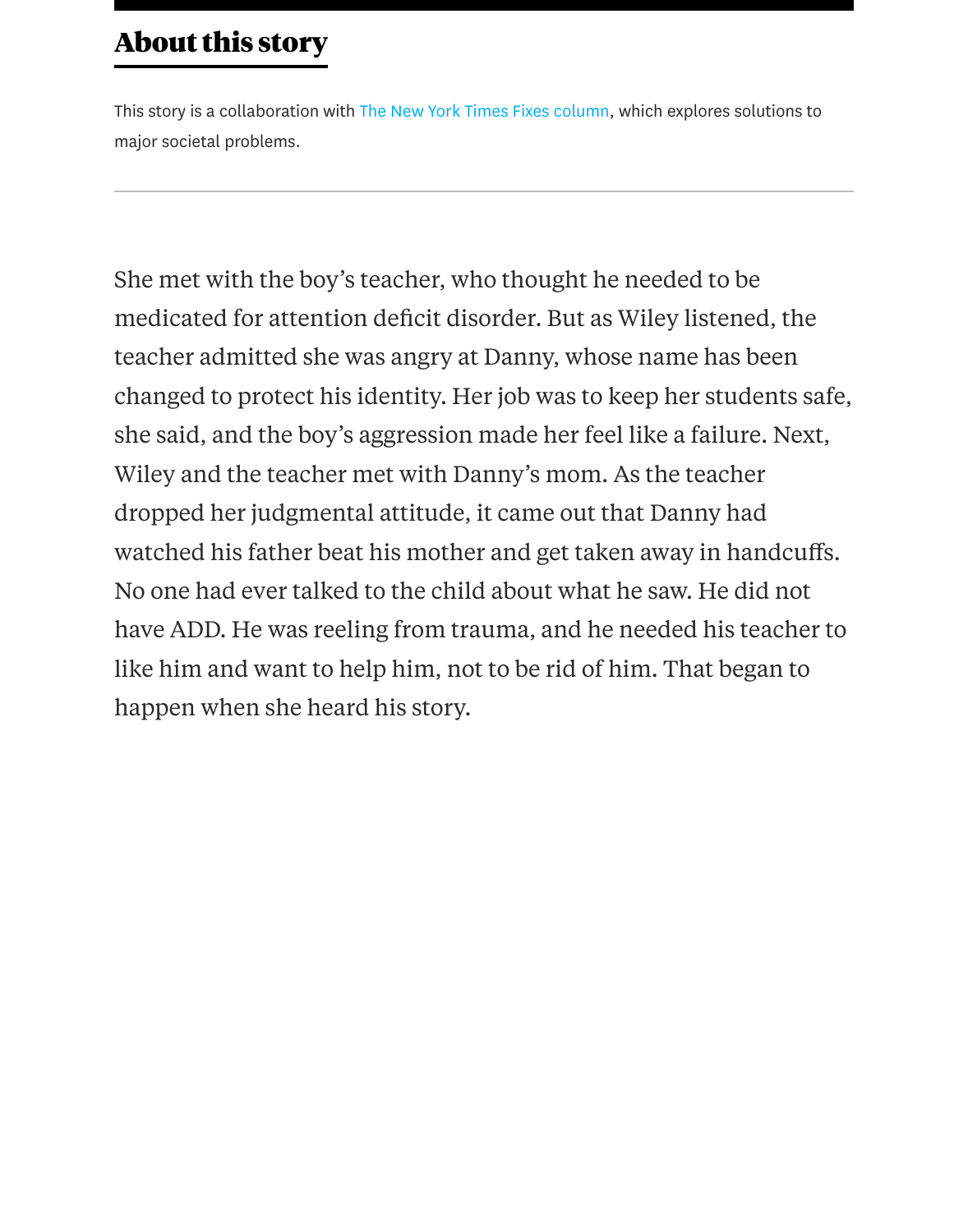She met with the boy's [teacher, who thought he](http://opinionator.blogs.nytimes.com/category/fixes/) needed to be medicated for attention deficit disorder. But as Wiley listened, the teacher admitted she was angry at Danny, whose name has been changed to protect his identity. Her job was to keep her students sa she said, and the boy's aggression made her feel like a failure. Next, Wiley and the teacher met with Danny's mom. As the teacher dropped her judgmental attitude, it came out that Danny had watched his father beat his mother and get taken away in handcuff No one had ever talked to the child about what he saw. He did not have ADD. He was reeling from trauma, and he needed his teacher like him and want to help him, not to be rid of him. That began to happen when she heard his story.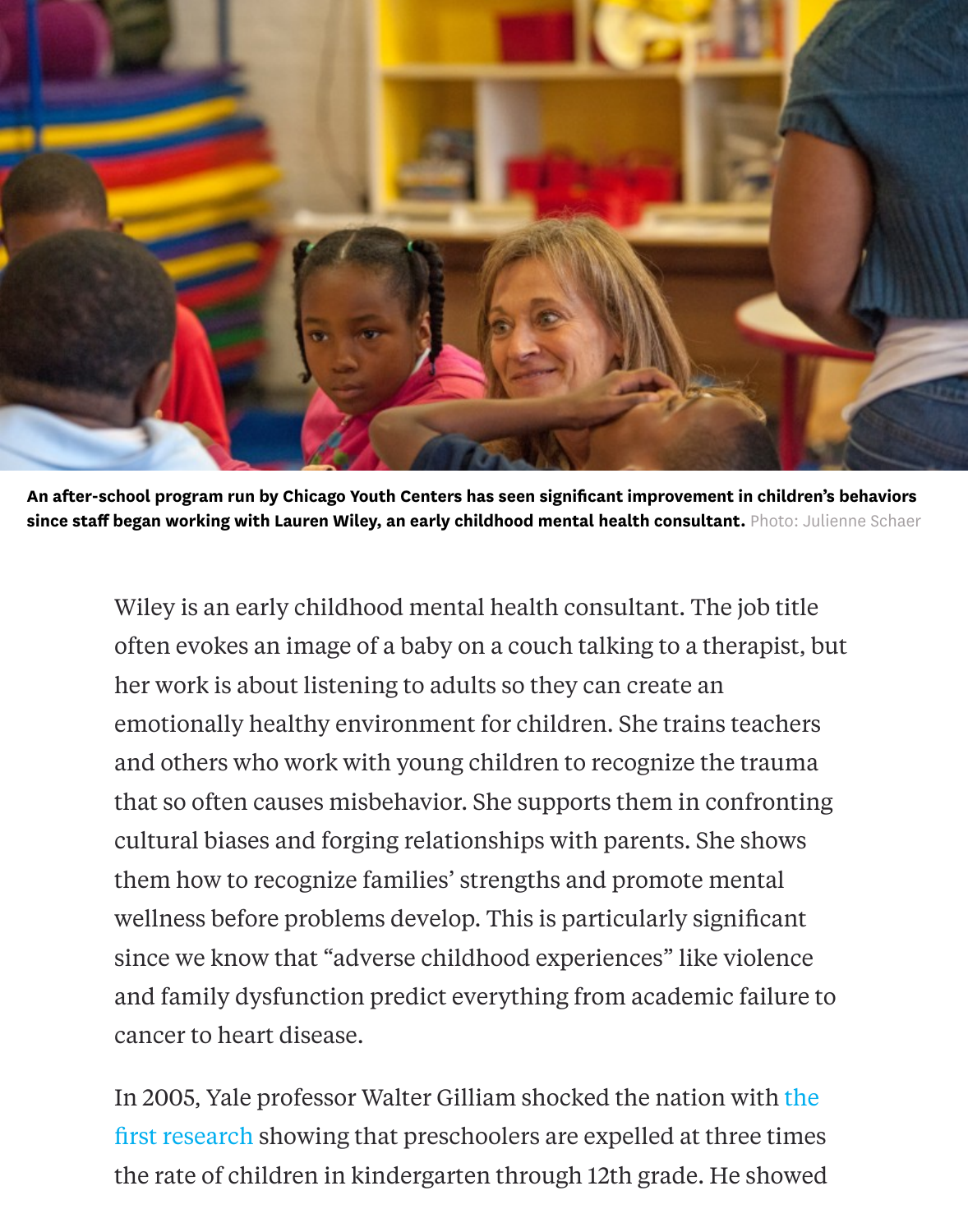

An after-school program run by Chicago Youth Centers has seen significant improvement in children since staff began working with Lauren Wiley, an early childhood mental health consultant. Photo: Jul

Wiley is an early childhood mental health consultant. The job title often evokes an image of a baby on a couch talking to a therapist, but her work is about listening to adults so they can create an emotionally healthy environment for children. She trains teachers and others who work with young children to recognize the trauma that so often causes misbehavior. She supports them in confronting cultural biases and forging relationships with parents. She shows them how to recognize families' strengths and promote mental wellness before problems develop. This is particularly significant since we know that "adverse childhood experiences" like violence and family dysfunction predict everything from academic failure t cancer to heart disease.

In 2005, Yale professor Walter Gilliam shocked the nation with the first research showing that preschoolers are expelled at three times the rate of children in kindergarten through 12th grade. He showed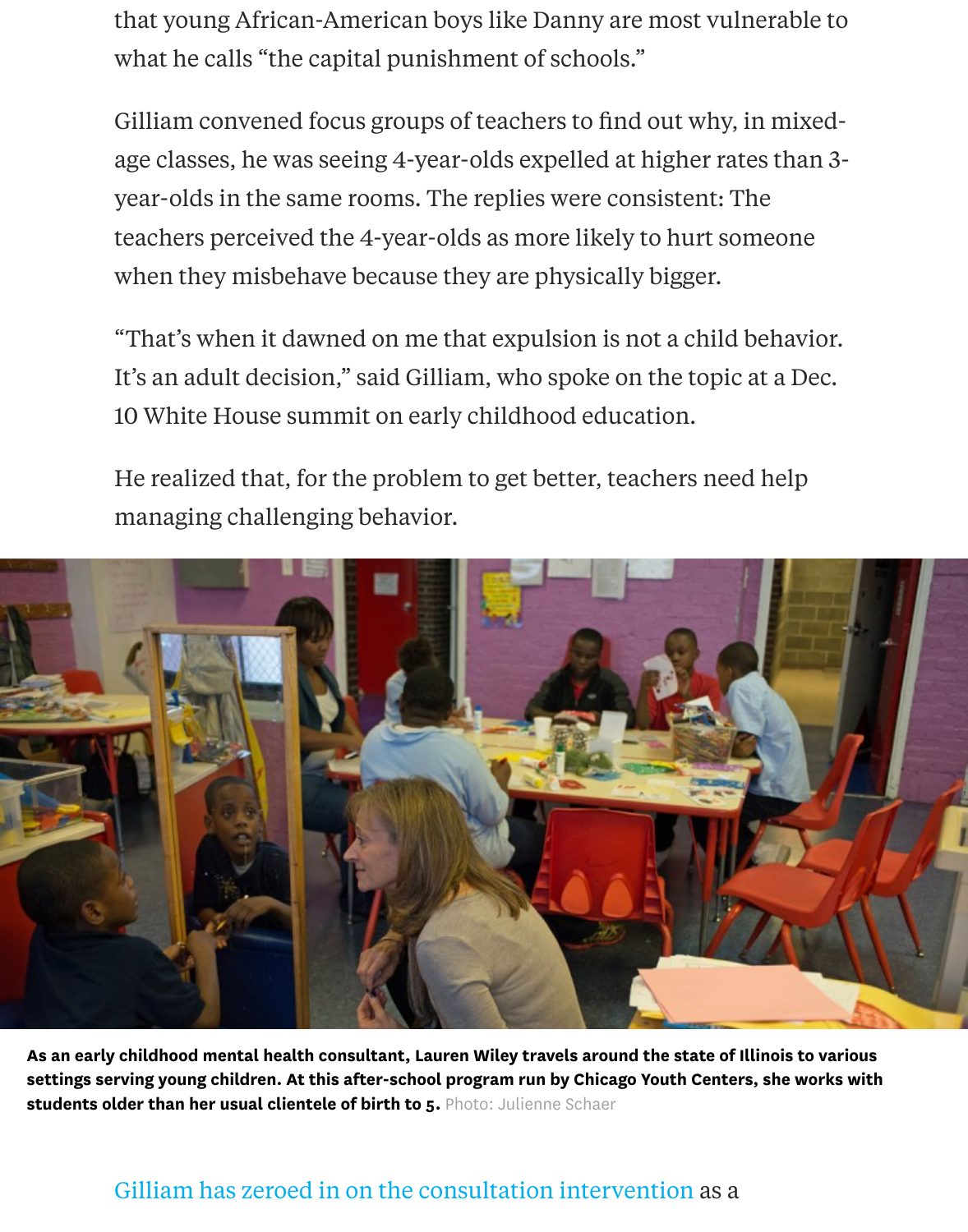age classes, he was seeing 4-year-olds expelled at higher rates than 3 year-olds in the same rooms. The replies were consistent: The teachers perceived the 4-year-olds as more likely to hurt someone when they misbehave because they are physically bigger.

"That's when it dawned on me that expulsion is not a child behavior." It's an adult decision," said Gilliam, who spoke on the topic at a Dec. 10 White House summit on early childhood education.

He realized that, for the problem to get better, teachers need help managing challenging behavior.



As an early childhood mental health consultant, Lauren Wiley travels around the state of Illinois to v settings serving young children. At this after-school program run by Chicago Youth Centers, she wor students older than her usual clientele of birth to 5. Photo: Julienne Schaer

## Gilliam has zeroed in on the consultation intervention as a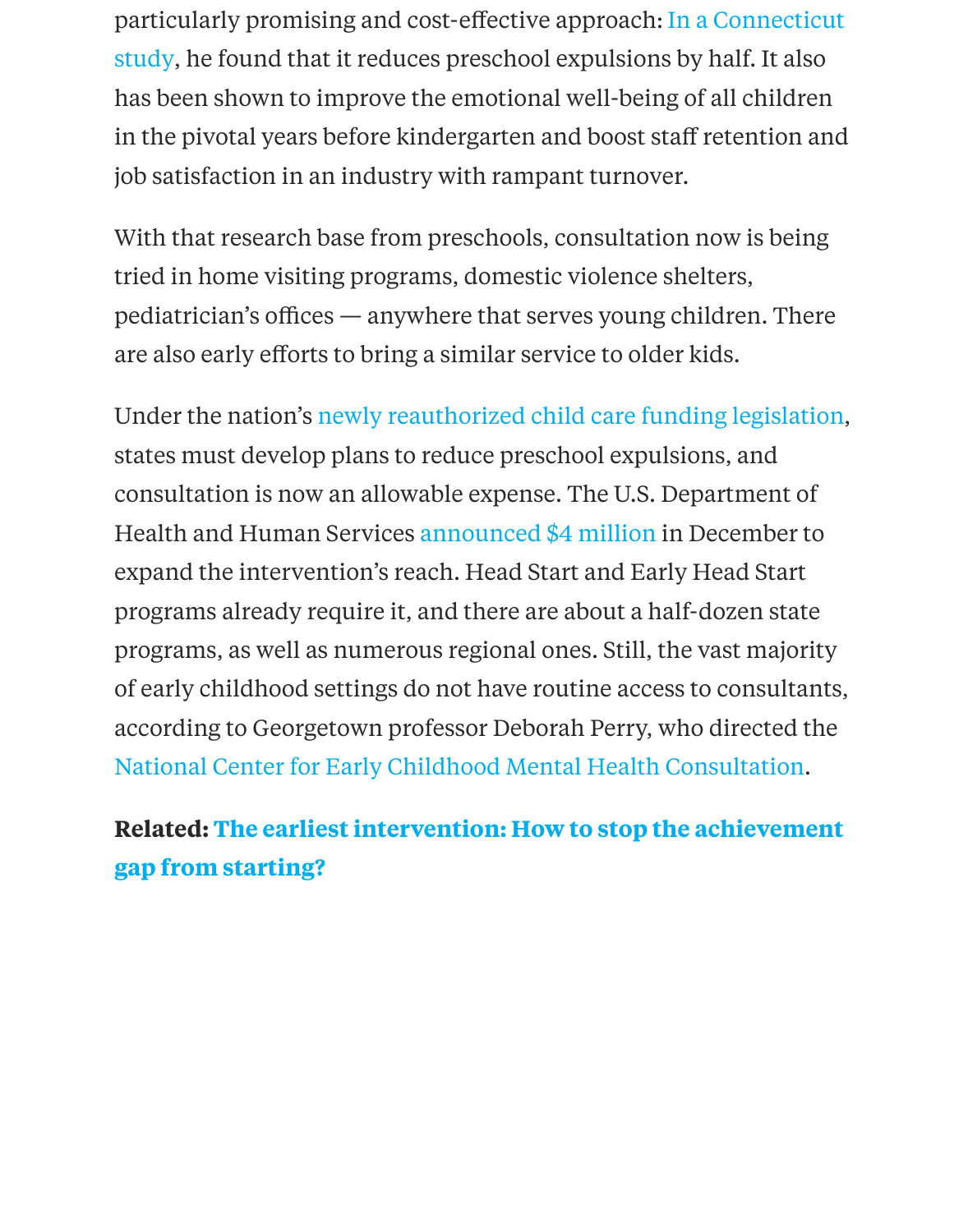[job satisfaction in an industry with rampant turnover.](http://www.chdi.org/files/3814/1202/7645/evaluation_of_cts_early_childhood_consultation_partnership.pdf)

With that research base from preschools, consultation now is being tried in home visiting programs, domestic violence shelters,  $p$ ediatrician's offices  $-$  anywhere that serves young children. There are also early efforts to bring a similar service to older kids.

Under the nation's newly reauthorized child care funding legislation states must develop plans to reduce preschool expulsions, and consultation is now an allowable expense. The U.S. Department of Health and Human Services announced \$4 million in December to expand the interve[ntion's reach. Head Start and Early Head Start](http://policyblog.usa.childcareaware.org/2014/11/19/obama-signs-ccdbg/) programs already require it, and there are about a half-dozen state programs, as well as numerous regional ones. Still, the vast majorit of early childhood settings d[o not have routine acce](http://www.acf.hhs.gov/programs/ecd/news/secretaries-burwell-and-duncan-policy-statement-on-expulsion-suspension-practices)ss to consultants, according to Georgetown professor Deborah Perry, who directed the National Center for Early Childhood Mental Health Consultation.

# **Related: The earliest intervention: How to stop the achievement gap from starting?**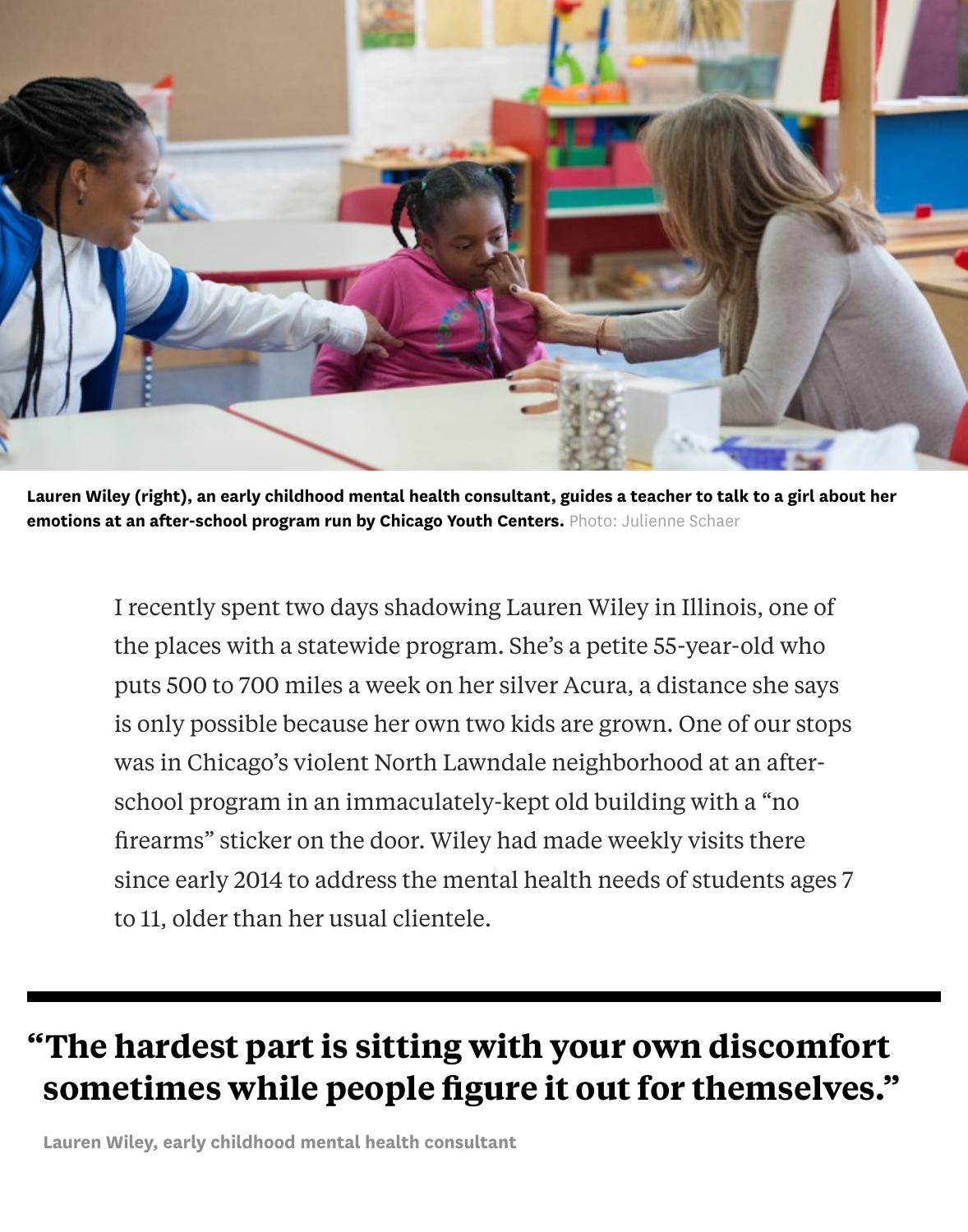

Lauren Wiley (right), an early childhood mental health consultant, guides a teacher to talk to a girl about her emotions at an after-school program run by Chicago Youth Centers. Photo: Julienne Schaer

I recently spent two days shadowing Lauren Wiley in Illinois, one of the places with a statewide program. She's a petite 55-year-old who puts 500 to 700 miles a week on her silver Acura, a distance she says is only possible because her own two kids are grown. One of our stops was in Chicago's violent North Lawndale neighborhood at an afterschool program in an immaculately-kept old building with a "no firearms" sticker on the door. Wiley had made weekly visits there since early 2014 to address the mental health needs of students ages 7 to 11, older than her usual clientele.

# **"The hardest part is sitting with your own discomfort sometimes while people figure it out for themselves."**

Lauren Wiley, early childhood mental health consultant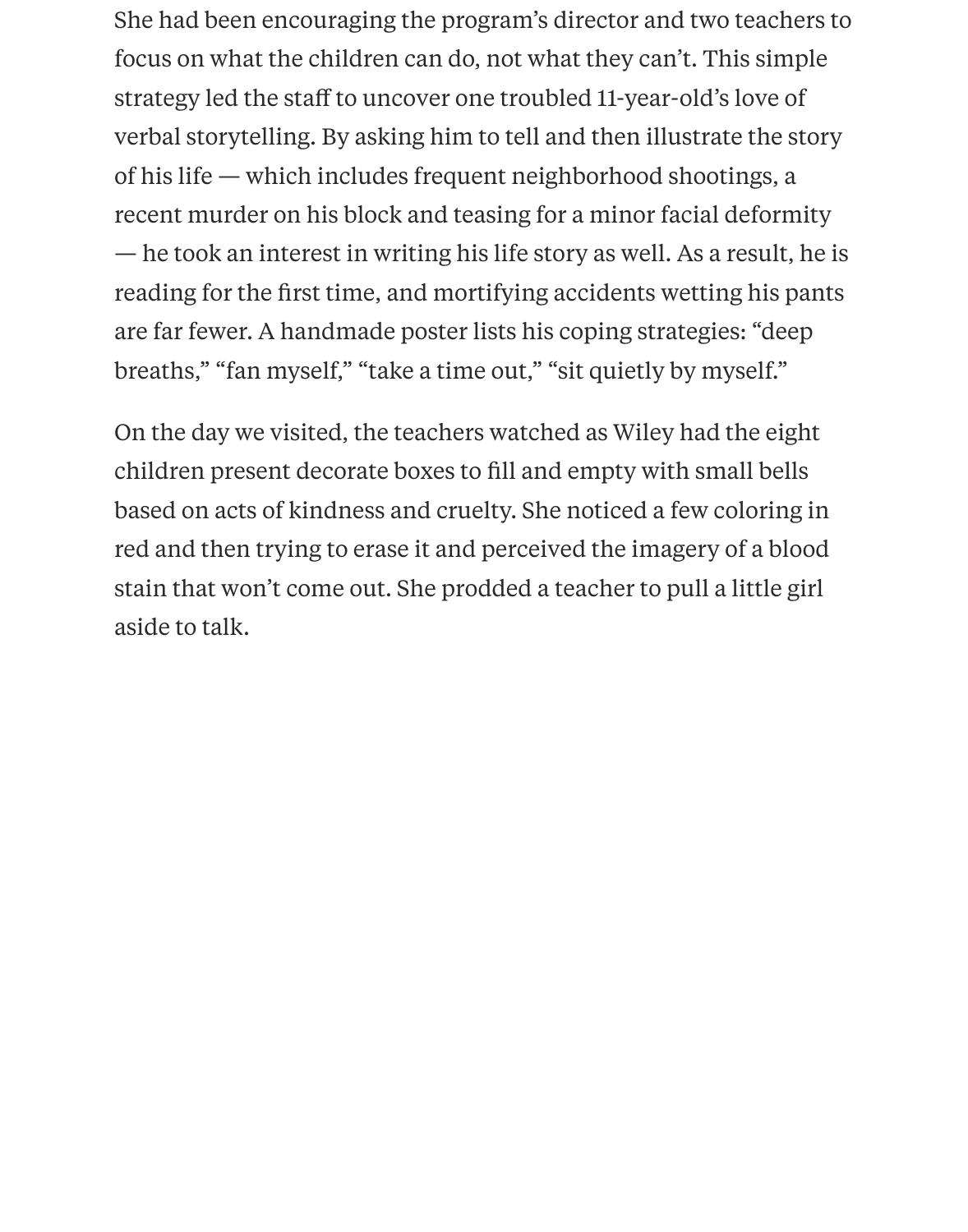She had been encouraging the program's director and two teachers to focus on what the children can do, not what they can't. This simple strategy led the staff to uncover one troubled 11-year-old's love of verbal storytelling. By asking him to tell and then illustrate the story of his life — which includes frequent neighborhood shootings, a recent murder on his block and teasing for a minor facial deformity — he took an interest in writing his life story as well. As a result, he is reading for the first time, and mortifying accidents wetting his pants are far fewer. A handmade poster lists his coping strategies: "deep breaths," "fan myself," "take a time out," "sit quietly by myself."

On the day we visited, the teachers watched as Wiley had the eight children present decorate boxes to fill and empty with small bells based on acts of kindness and cruelty. She noticed a few coloring in red and then trying to erase it and perceived the imagery of a blood stain that won't come out. She prodded a teacher to pull a little girl aside to talk.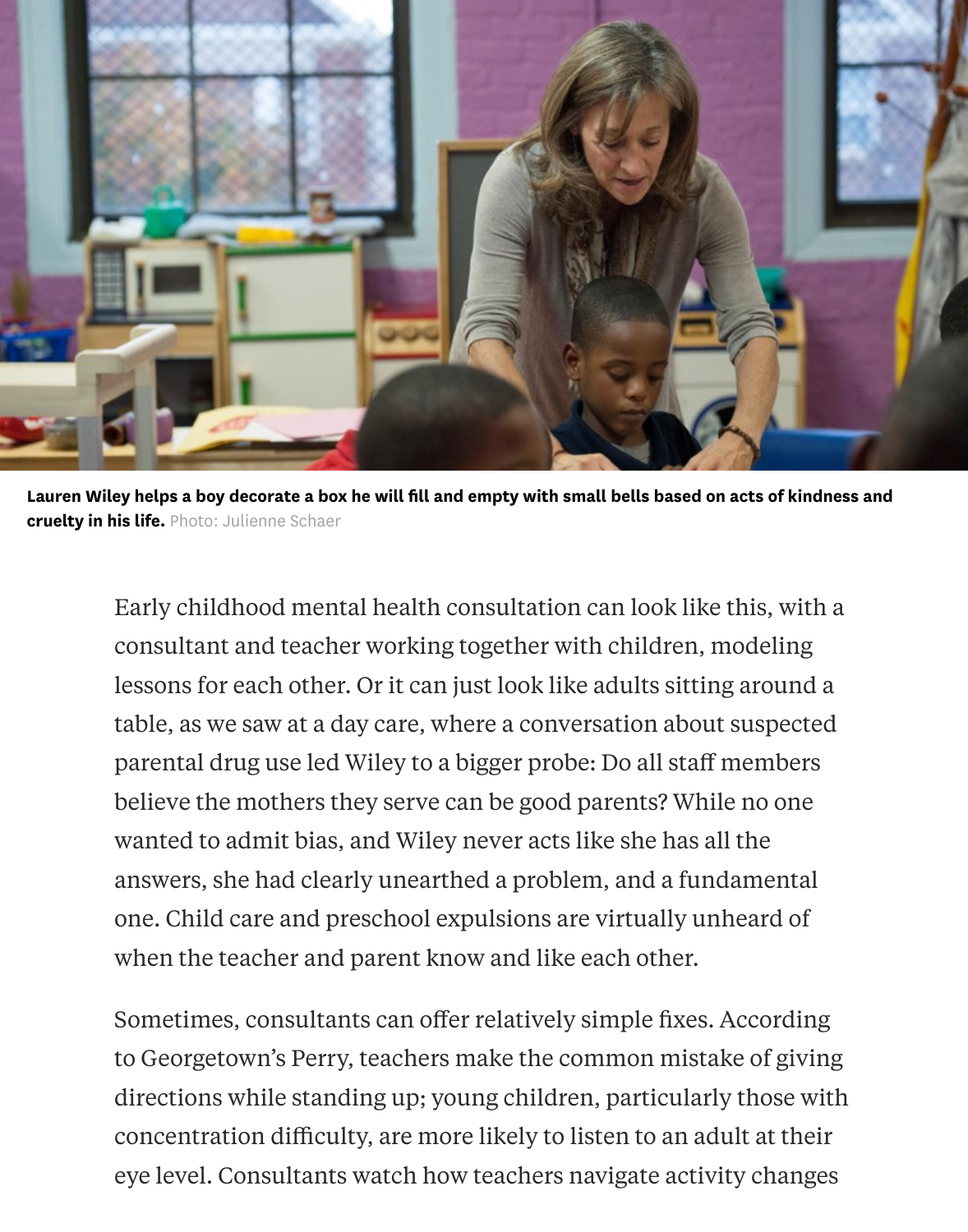

Lauren Wiley helps a boy decorate a box he will fill and empty with small bells based on acts of kindness and cruelty in his life. Photo: Julienne Schaer

Early childhood mental health consultation can look like this, with a consultant and teacher working together with children, modeling lessons for each other. Or it can just look like adults sitting around a table, as we saw at a day care, where a conversation about suspected parental drug use led Wiley to a bigger probe: Do all staff members believe the mothers they serve can be good parents? While no one wanted to admit bias, and Wiley never acts like she has all the answers, she had clearly unearthed a problem, and a fundamental one. Child care and preschool expulsions are virtually unheard of when the teacher and parent know and like each other.

Sometimes, consultants can offer relatively simple fixes. According to Georgetown's Perry, teachers make the common mistake of giving directions while standing up; young children, particularly those with concentration difficulty, are more likely to listen to an adult at their eye level. Consultants watch how teachers navigate activity changes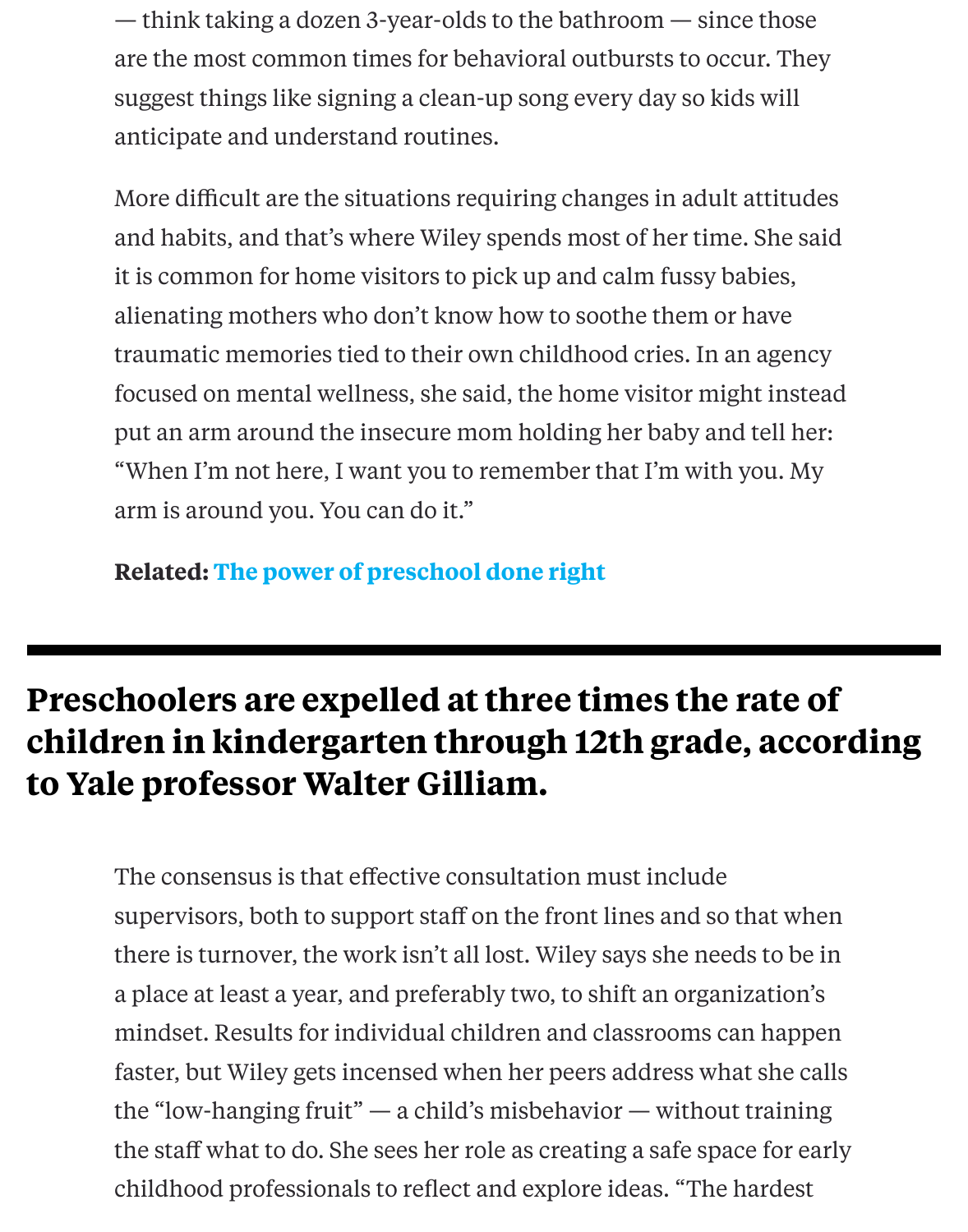More difficult are the situations requiring changes in adult attitudent attitudes and habits, and that's where Wiley spends most of her time. She said. it is common for home visitors to pick up and calm fussy babies, alienating mothers who don't know how to soothe them or have traumatic memories tied to their own childhood cries. In an agency focused on mental wellness, she said, the home visitor might instead put an arm around the insecure mom holding her baby and tell her: "When I'm not here, I want you to remember that I'm with you. My arm is around you. You can do it."

**Related: The power of preschool done right**

# **Preschoolers are expelled at three times the rate of children in [kindergarten through 12](http://hechingerreport.org/content/the-power-of-preschool-done-right_13881/)th grade, according to Yale professor Walter Gilliam.**

The consensus is that effective consultation must include supervisors, both to support staff on the front lines and so that when there is turnover, the work isn't all lost. Wiley says she needs to be i a place at least a year, and preferably two, to shift an organization's mindset. Results for individual children and classrooms can happen faster, but Wiley gets incensed when her peers address what she ca the "low-hanging fruit" — a child's misbehavior — without training the staff what to do. She sees her role as creating a safe space for early childhood professionals to reflect and explore ideas. "The hardest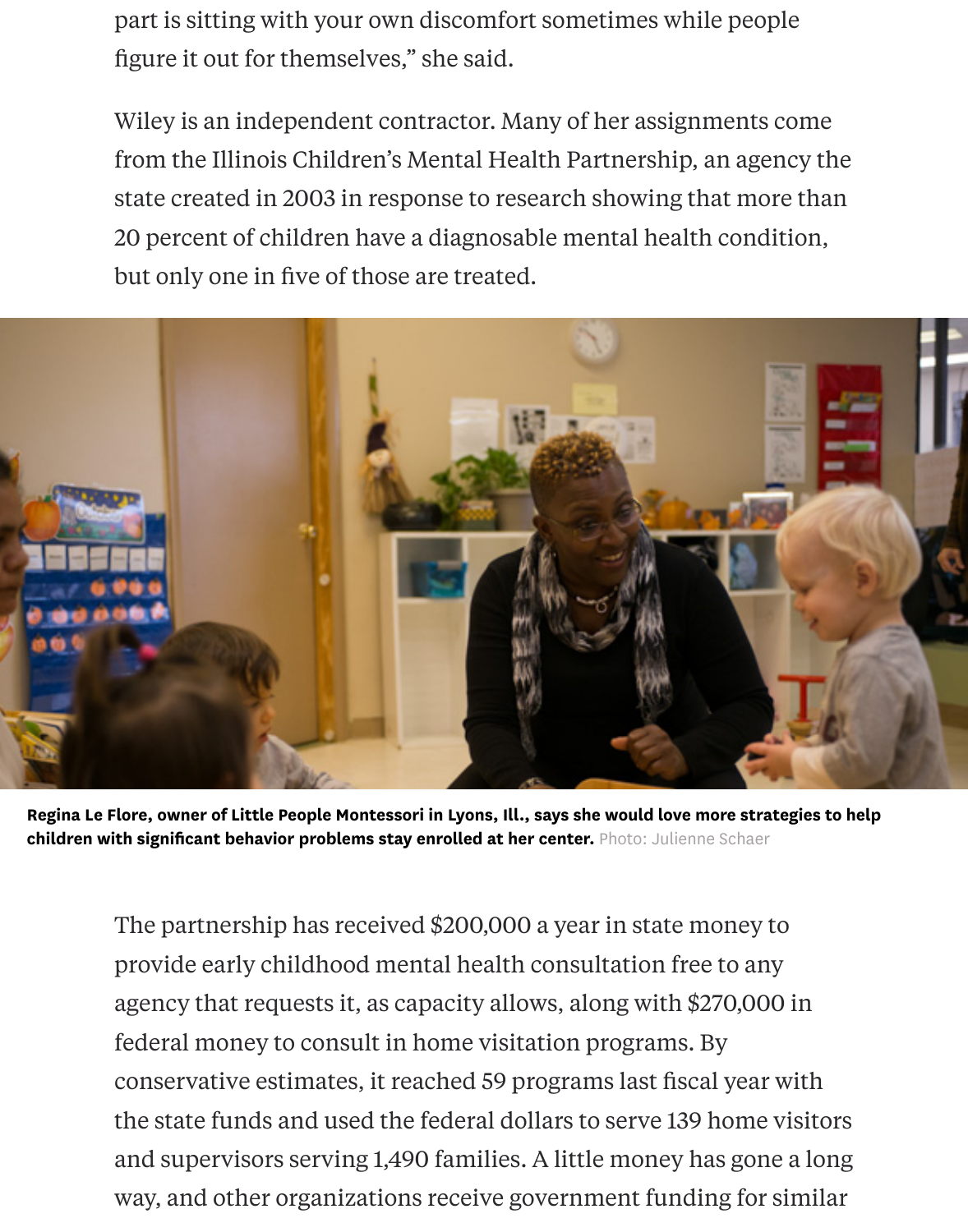part is sitting with your own discomfort sometimes while people figure it out for themselves," she said.

Wiley is an independent contractor. Many of her assignments come from the Illinois Children's Mental Health Partnership, an agency the state created in 2003 in response to research showing that more than 20 percent of children have a diagnosable mental health condition, but only one in five of those are treated.



Regina Le Flore, owner of Little People Montessori in Lyons, Ill., says she would love more strategies to help children with significant behavior problems stay enrolled at her center. Photo: Julienne Schaer

The partnership has received \$200,000 a year in state money to provide early childhood mental health consultation free to any agency that requests it, as capacity allows, along with \$270,000 in federal money to consult in home visitation programs. By conservative estimates, it reached 59 programs last fiscal year with the state funds and used the federal dollars to serve 139 home visitors and supervisors serving 1,490 families. A little money has gone a long way, and other organizations receive government funding for similar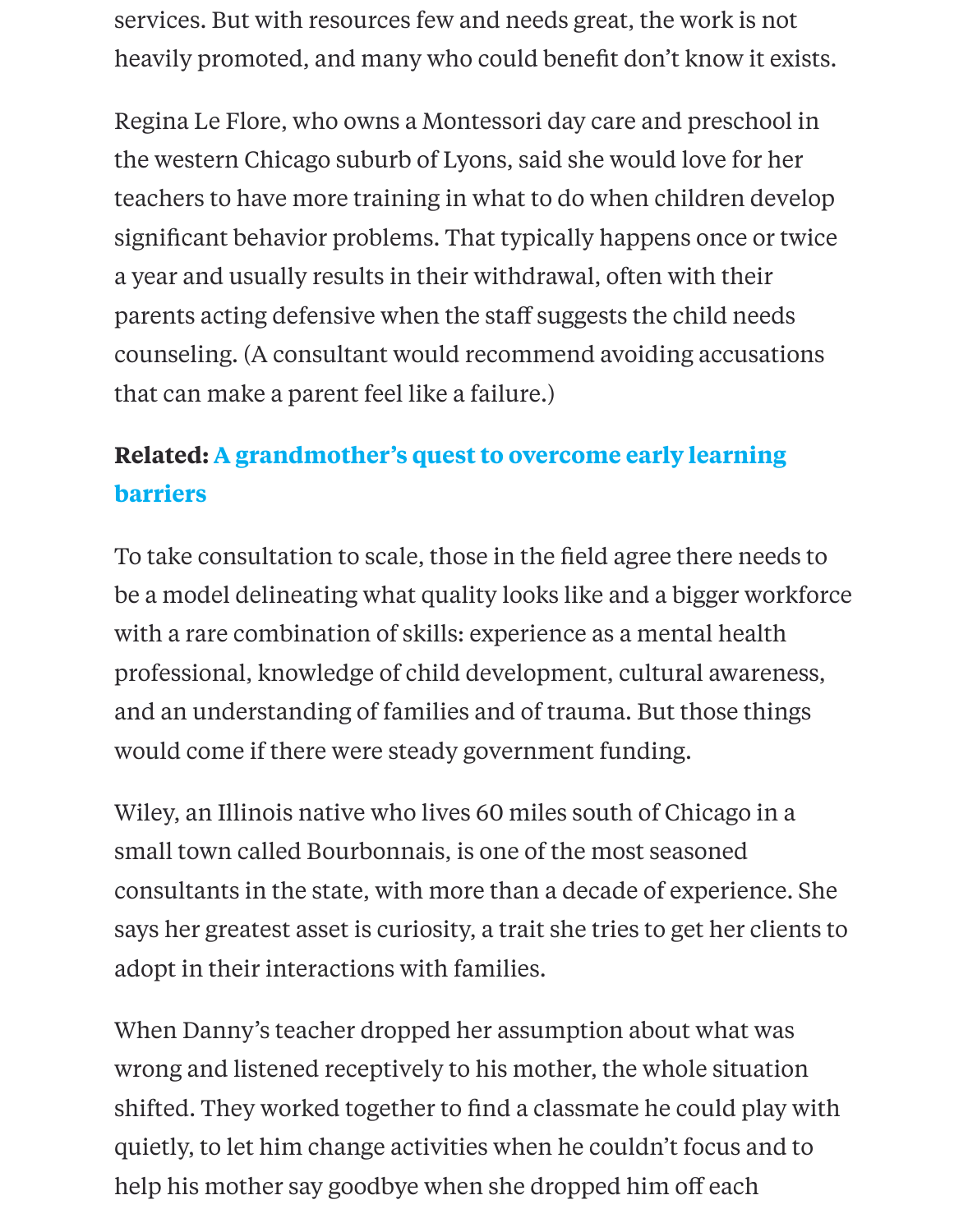the western Chicago suburb of Lyons, said she would love for her teachers to have more training in what to do when children develoption. significant behavior problems. That typically happens once or twic a year and usually results in their withdrawal, often with their parents acting defensive when the staff suggests the child needs counseling. (A consultant would recommend avoiding accusations that can make a parent feel like a failure.)

# **Related: A grandmother's quest to overcome early learning barriers**

To take consultation to scale, those in the field agree there needs to be a model delineating what quality looks like and a bigger workfor [with a rare combination of skills: experience as a mental health](http://hechingerreport.org/content/grandmothers-quest-overcome-early-learning-barriers_15005/) professional, knowledge of child development, cultural awareness, and an understanding of families and of trauma. But those things would come if there were steady government funding.

Wiley, an Illinois native who lives 60 miles south of Chicago in a small town called Bourbonnais, is one of the most seasoned consultants in the state, with more than a decade of experience. She says her greatest asset is curiosity, a trait she tries to get her clients adopt in their interactions with families.

When Danny's teacher dropped her assumption about what was wrong and listened receptively to his mother, the whole situation shifted. They worked together to find a classmate he could play with quietly, to let him change activities when he couldn't focus and to help his mother say goodbye when she dropped him off each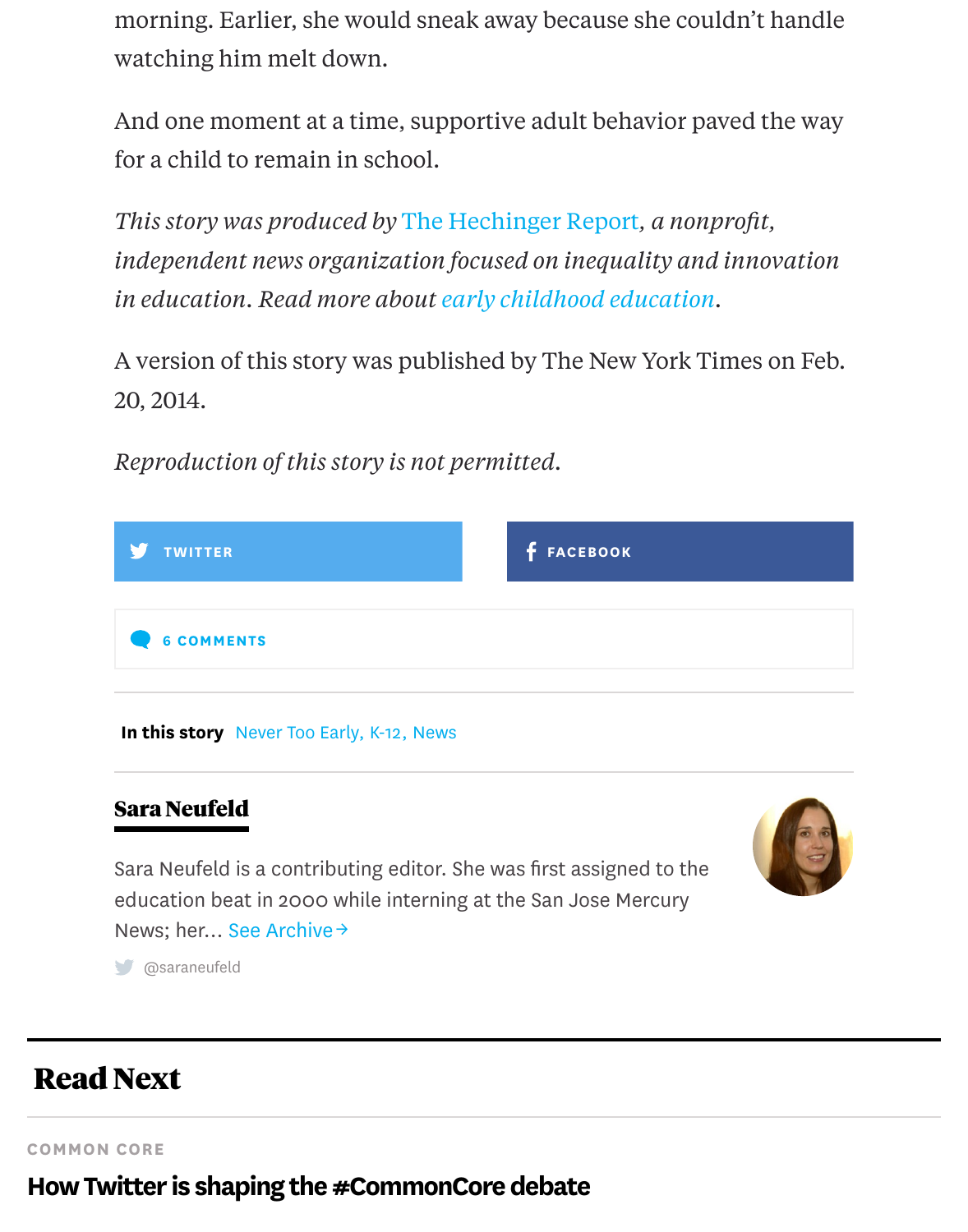for a child to remain in school.

*This story was produced by* The Hechinger Report*, a nonprofit, independent news organization focused on inequality and innovatic in education. Read more about early childhood education.*

A version of this story was [published by The New](http://hechingerreport.org/) York Times on Fe 20, 2014.

*Reproduction of this story is no[t permitted.](http://hechingerreport.org/special-reports/never_too_early/)*

| <b>TWITTER</b>                            | <b>f</b> FACEBOOK |
|-------------------------------------------|-------------------|
| <b>6 COMMENTS</b>                         |                   |
| In this story Never Too Early, K-12, News |                   |

### [Sara Neufeld](http://hechingerreport.org/expelled-preschool/#)

Sara Neufeld is a contributing editor. She was first assigned to the education be[at in 2000 whi](http://hechingerreport.org/special-reports/never_too_early/)[le int](http://hechingerreport.org/category/k12/)[ernin](http://hechingerreport.org/category/news/)g at the San Jose Mercury News; her... See Archive →



# Read Next

COMMON [CORE](http://twitter.com/saraneufeld)

How Twitter is shaping the #CommonCore debate

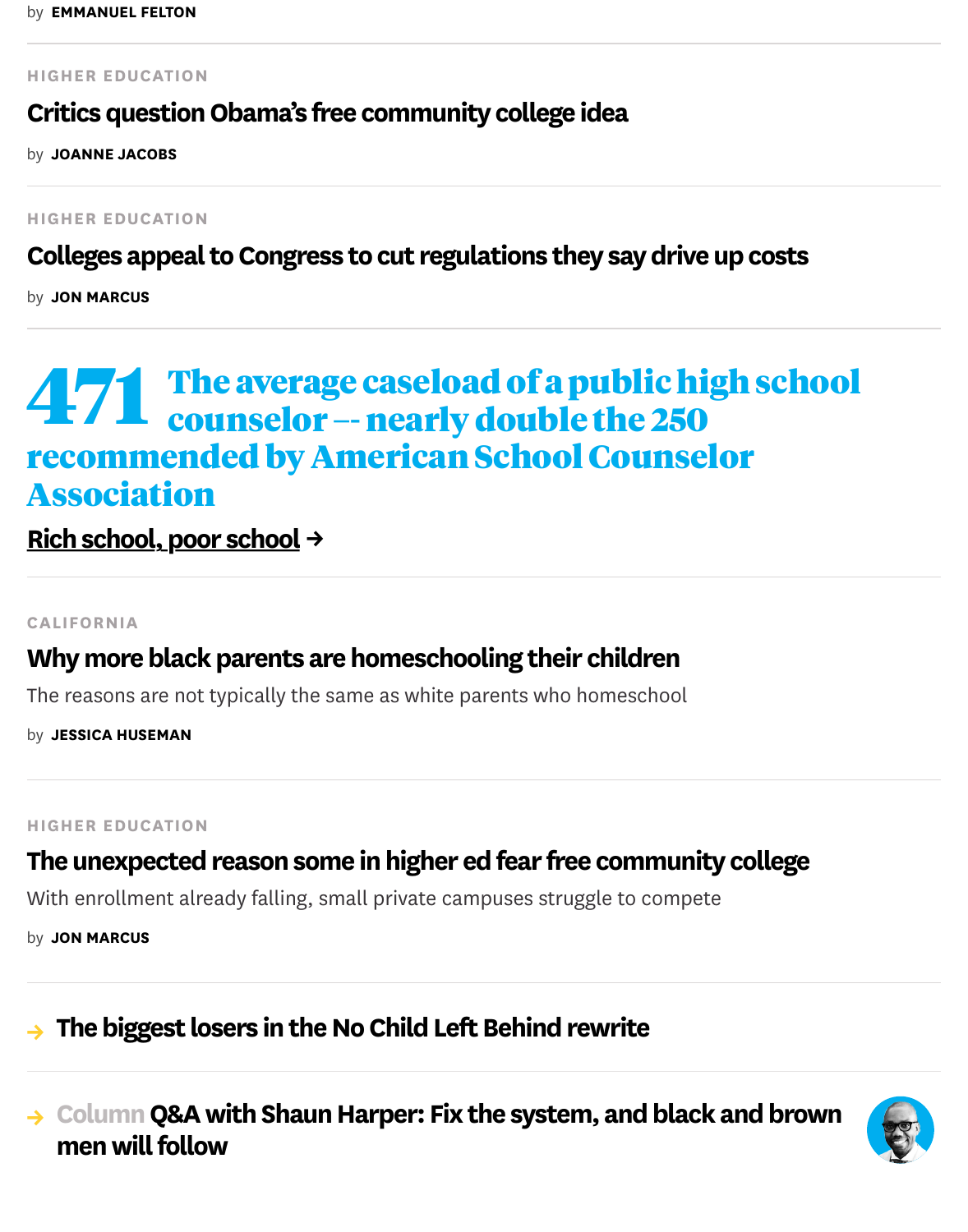HIGHER EDUCATION

[Colleges appeal to Congress to cut regulations they say drive up costs](http://hechingerreport.org/special-reports/higher-education/)

by **JON MARCUS** 

# **471** [The average caseload of a public high school](http://hechingerreport.org/special-reports/higher-education/) counselor -- nearly double the 250 r[ecomm](http://hechingerreport.org/author/jon-marcus/)ended by American School Counselor Association

Rich school, poor school →

#### CALIFORNIA

### Why more black parents are homeschooling their children

[The reasons are not typically the](http://hechingerreport.org/rich-school-poor-school/) same as white parents who homeschool

by JESSICA HUSEMAN

#### [HIGHER EDUCATION](http://hechingerreport.org/black-parents-homeschooling-children/)

## The unexpected reason some in higher ed fear free community college

Wi[th enrollment al](http://hechingerreport.org/author/jessica-huseman/)ready falling, small private campuses struggle to compete

by **JON MARCUS** 

## $\rightarrow$  [The biggest losers in the No Child Left Behind rewrite](http://hechingerreport.org/unexpected-reason-higher-ed-fear-free-community-college/)

# → Column Q&A with Shaun Harper: Fix the system, and black and brow men will follow